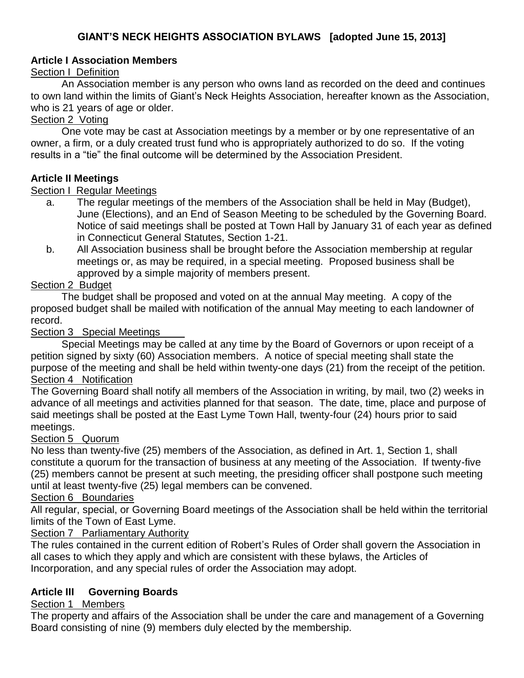## **Article I Association Members**

## Section I Definition

An Association member is any person who owns land as recorded on the deed and continues to own land within the limits of Giant's Neck Heights Association, hereafter known as the Association, who is 21 years of age or older.

## Section 2 Voting

One vote may be cast at Association meetings by a member or by one representative of an owner, a firm, or a duly created trust fund who is appropriately authorized to do so. If the voting results in a "tie" the final outcome will be determined by the Association President.

## **Article II Meetings**

## Section I Regular Meetings

- a. The regular meetings of the members of the Association shall be held in May (Budget), June (Elections), and an End of Season Meeting to be scheduled by the Governing Board. Notice of said meetings shall be posted at Town Hall by January 31 of each year as defined in Connecticut General Statutes, Section 1-21.
- b. All Association business shall be brought before the Association membership at regular meetings or, as may be required, in a special meeting. Proposed business shall be approved by a simple majority of members present.

# Section 2 Budget

The budget shall be proposed and voted on at the annual May meeting. A copy of the proposed budget shall be mailed with notification of the annual May meeting to each landowner of record.

## Section 3 Special Meetings

Special Meetings may be called at any time by the Board of Governors or upon receipt of a petition signed by sixty (60) Association members. A notice of special meeting shall state the purpose of the meeting and shall be held within twenty-one days (21) from the receipt of the petition. Section 4 Notification

The Governing Board shall notify all members of the Association in writing, by mail, two (2) weeks in advance of all meetings and activities planned for that season. The date, time, place and purpose of said meetings shall be posted at the East Lyme Town Hall, twenty-four (24) hours prior to said meetings.

## Section 5 Quorum

No less than twenty-five (25) members of the Association, as defined in Art. 1, Section 1, shall constitute a quorum for the transaction of business at any meeting of the Association. If twenty-five (25) members cannot be present at such meeting, the presiding officer shall postpone such meeting until at least twenty-five (25) legal members can be convened.

## Section 6 Boundaries

All regular, special, or Governing Board meetings of the Association shall be held within the territorial limits of the Town of East Lyme.

# Section 7 Parliamentary Authority

The rules contained in the current edition of Robert's Rules of Order shall govern the Association in all cases to which they apply and which are consistent with these bylaws, the Articles of Incorporation, and any special rules of order the Association may adopt.

# **Article III Governing Boards**

# Section 1 Members

The property and affairs of the Association shall be under the care and management of a Governing Board consisting of nine (9) members duly elected by the membership.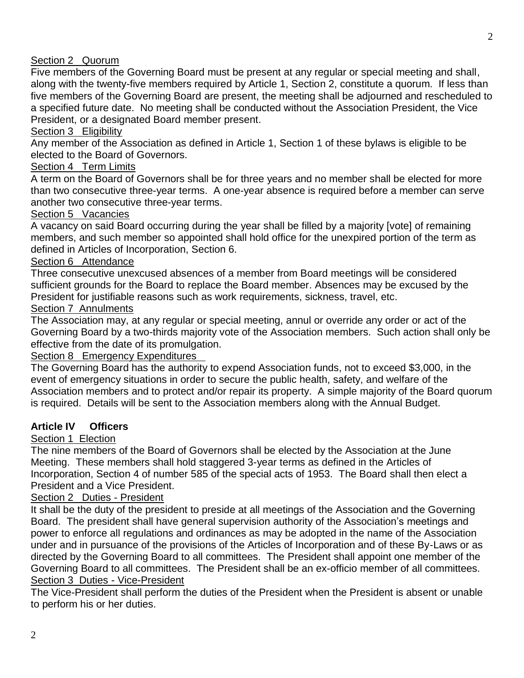## Section 2 Quorum

Five members of the Governing Board must be present at any regular or special meeting and shall, along with the twenty-five members required by Article 1, Section 2, constitute a quorum. If less than five members of the Governing Board are present, the meeting shall be adjourned and rescheduled to a specified future date. No meeting shall be conducted without the Association President, the Vice President, or a designated Board member present.

### Section 3 Eligibility

Any member of the Association as defined in Article 1, Section 1 of these bylaws is eligible to be elected to the Board of Governors.

### Section 4 Term Limits

A term on the Board of Governors shall be for three years and no member shall be elected for more than two consecutive three-year terms. A one-year absence is required before a member can serve another two consecutive three-year terms.

#### Section 5 Vacancies

A vacancy on said Board occurring during the year shall be filled by a majority [vote] of remaining members, and such member so appointed shall hold office for the unexpired portion of the term as defined in Articles of Incorporation, Section 6.

### Section 6 Attendance

Three consecutive unexcused absences of a member from Board meetings will be considered sufficient grounds for the Board to replace the Board member. Absences may be excused by the President for justifiable reasons such as work requirements, sickness, travel, etc.

### Section 7 Annulments

The Association may, at any regular or special meeting, annul or override any order or act of the Governing Board by a two-thirds majority vote of the Association members. Such action shall only be effective from the date of its promulgation.

### Section 8 Emergency Expenditures

The Governing Board has the authority to expend Association funds, not to exceed \$3,000, in the event of emergency situations in order to secure the public health, safety, and welfare of the Association members and to protect and/or repair its property. A simple majority of the Board quorum is required. Details will be sent to the Association members along with the Annual Budget.

### **Article IV Officers**

#### Section 1 Election

The nine members of the Board of Governors shall be elected by the Association at the June Meeting. These members shall hold staggered 3-year terms as defined in the Articles of Incorporation, Section 4 of number 585 of the special acts of 1953. The Board shall then elect a President and a Vice President.

### Section 2 Duties - President

It shall be the duty of the president to preside at all meetings of the Association and the Governing Board. The president shall have general supervision authority of the Association's meetings and power to enforce all regulations and ordinances as may be adopted in the name of the Association under and in pursuance of the provisions of the Articles of Incorporation and of these By-Laws or as directed by the Governing Board to all committees. The President shall appoint one member of the Governing Board to all committees. The President shall be an ex-officio member of all committees. Section 3 Duties - Vice-President

The Vice-President shall perform the duties of the President when the President is absent or unable to perform his or her duties.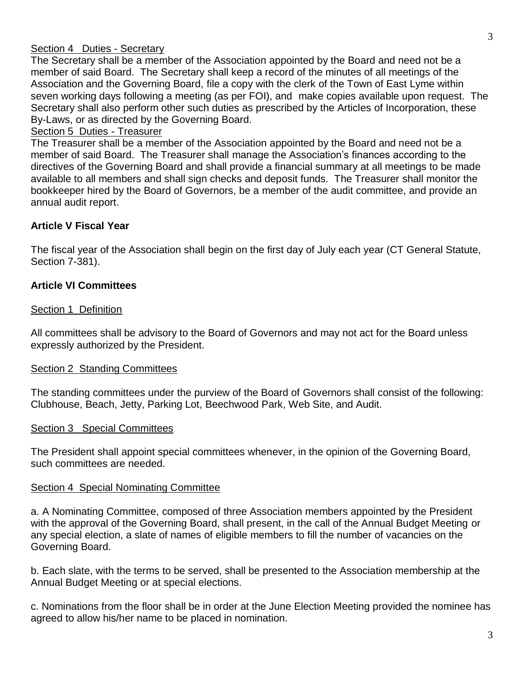The Secretary shall be a member of the Association appointed by the Board and need not be a member of said Board. The Secretary shall keep a record of the minutes of all meetings of the Association and the Governing Board, file a copy with the clerk of the Town of East Lyme within seven working days following a meeting (as per FOI), and make copies available upon request. The Secretary shall also perform other such duties as prescribed by the Articles of Incorporation, these By-Laws, or as directed by the Governing Board.

## Section 5 Duties - Treasurer

The Treasurer shall be a member of the Association appointed by the Board and need not be a member of said Board. The Treasurer shall manage the Association's finances according to the directives of the Governing Board and shall provide a financial summary at all meetings to be made available to all members and shall sign checks and deposit funds. The Treasurer shall monitor the bookkeeper hired by the Board of Governors, be a member of the audit committee, and provide an annual audit report.

## **Article V Fiscal Year**

The fiscal year of the Association shall begin on the first day of July each year (CT General Statute, Section 7-381).

### **Article VI Committees**

#### Section 1 Definition

All committees shall be advisory to the Board of Governors and may not act for the Board unless expressly authorized by the President.

### Section 2 Standing Committees

The standing committees under the purview of the Board of Governors shall consist of the following: Clubhouse, Beach, Jetty, Parking Lot, Beechwood Park, Web Site, and Audit.

### Section 3 Special Committees

The President shall appoint special committees whenever, in the opinion of the Governing Board, such committees are needed.

#### Section 4 Special Nominating Committee

a. A Nominating Committee, composed of three Association members appointed by the President with the approval of the Governing Board, shall present, in the call of the Annual Budget Meeting or any special election, a slate of names of eligible members to fill the number of vacancies on the Governing Board.

b. Each slate, with the terms to be served, shall be presented to the Association membership at the Annual Budget Meeting or at special elections.

c. Nominations from the floor shall be in order at the June Election Meeting provided the nominee has agreed to allow his/her name to be placed in nomination.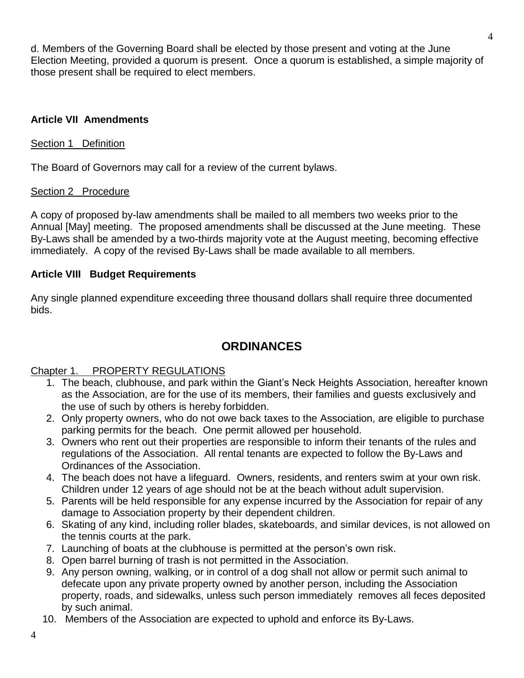d. Members of the Governing Board shall be elected by those present and voting at the June Election Meeting, provided a quorum is present. Once a quorum is established, a simple majority of those present shall be required to elect members.

## **Article VII Amendments**

## Section 1 Definition

The Board of Governors may call for a review of the current bylaws.

## Section 2 Procedure

A copy of proposed by-law amendments shall be mailed to all members two weeks prior to the Annual [May] meeting. The proposed amendments shall be discussed at the June meeting. These By-Laws shall be amended by a two-thirds majority vote at the August meeting, becoming effective immediately. A copy of the revised By-Laws shall be made available to all members.

## **Article VIII Budget Requirements**

Any single planned expenditure exceeding three thousand dollars shall require three documented bids.

# **ORDINANCES**

## Chapter 1. PROPERTY REGULATIONS

- 1. The beach, clubhouse, and park within the Giant's Neck Heights Association, hereafter known as the Association, are for the use of its members, their families and guests exclusively and the use of such by others is hereby forbidden.
- 2. Only property owners, who do not owe back taxes to the Association, are eligible to purchase parking permits for the beach. One permit allowed per household.
- 3. Owners who rent out their properties are responsible to inform their tenants of the rules and regulations of the Association. All rental tenants are expected to follow the By-Laws and Ordinances of the Association.
- 4. The beach does not have a lifeguard. Owners, residents, and renters swim at your own risk. Children under 12 years of age should not be at the beach without adult supervision.
- 5. Parents will be held responsible for any expense incurred by the Association for repair of any damage to Association property by their dependent children.
- 6. Skating of any kind, including roller blades, skateboards, and similar devices, is not allowed on the tennis courts at the park.
- 7. Launching of boats at the clubhouse is permitted at the person's own risk.
- 8. Open barrel burning of trash is not permitted in the Association.
- 9. Any person owning, walking, or in control of a dog shall not allow or permit such animal to defecate upon any private property owned by another person, including the Association property, roads, and sidewalks, unless such person immediately removes all feces deposited by such animal.
- 10. Members of the Association are expected to uphold and enforce its By-Laws.